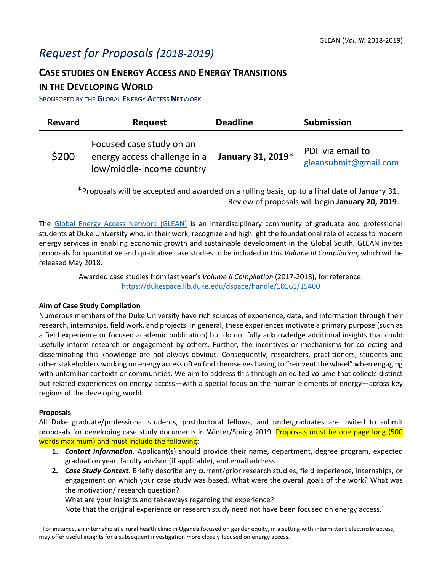# *Request for Proposals (2018-2019)*

## **CASE STUDIES ON ENERGY ACCESS AND ENERGY TRANSITIONS**

## **IN THE DEVELOPING WORLD**

SPONSORED BY THE **GL**OBAL **E**NERGY **A**CCESS **N**ETWORK

| <b>Reward</b>                                                                                 | <b>Request</b>                                                                        | <b>Deadline</b>   | <b>Submission</b>                         |  |  |
|-----------------------------------------------------------------------------------------------|---------------------------------------------------------------------------------------|-------------------|-------------------------------------------|--|--|
| \$200                                                                                         | Focused case study on an<br>energy access challenge in a<br>low/middle-income country | January 31, 2019* | PDF via email to<br>gleansubmit@gmail.com |  |  |
| *Proposals will be accepted and awarded on a rolling basis, up to a final date of January 31. |                                                                                       |                   |                                           |  |  |

Review of proposals will begin **January 20, 2019**.

The [Global Energy Access Network \(GLEAN\)](https://sites.duke.edu/glean/) is an interdisciplinary community of graduate and professional students at Duke University who, in their work, recognize and highlight the foundational role of access to modern energy services in enabling economic growth and sustainable development in the Global South. GLEAN invites proposals for quantitative and qualitative case studies to be included in this *Volume III Compilation*, which will be released May 2018.

> Awarded case studies from last year's *Volume II Compilation* (2017-2018), for reference: <https://dukespace.lib.duke.edu/dspace/handle/10161/15400>

#### **Aim of Case Study Compilation**

Numerous members of the Duke University have rich sources of experience, data, and information through their research, internships, field work, and projects. In general, these experiences motivate a primary purpose (such as a field experience or focused academic publication) but do not fully acknowledge additional insights that could usefully inform research or engagement by others. Further, the incentives or mechanisms for collecting and disseminating this knowledge are not always obvious. Consequently, researchers, practitioners, students and other stakeholders working on energy access often find themselves having to "reinvent the wheel" when engaging with unfamiliar contexts or communities. We aim to address this through an edited volume that collects distinct but related experiences on energy access—with a special focus on the human elements of energy—across key regions of the developing world.

#### **Proposals**

 $\overline{\phantom{a}}$ 

All Duke graduate/professional students, postdoctoral fellows, and undergraduates are invited to submit proposals for developing case study documents in Winter/Spring 2019. Proposals must be one page long (500 words maximum) and must include the following:

- **1.** *Contact Information.* Applicant(s) should provide their name, department, degree program, expected graduation year, faculty advisor (if applicable), and email address.
- **2.** *Case Study Context*. Briefly describe any current/prior research studies, field experience, internships, or engagement on which your case study was based. What were the overall goals of the work? What was the motivation/ research question?

What are your insights and takeaways regarding the experience?

Note that the original experience or research study need not have been focused on energy access.<sup>1</sup>

 $1$  For instance, an internship at a rural health clinic in Uganda focused on gender equity, in a setting with intermittent electricity access, may offer useful insights for a subsequent investigation more closely focused on energy access.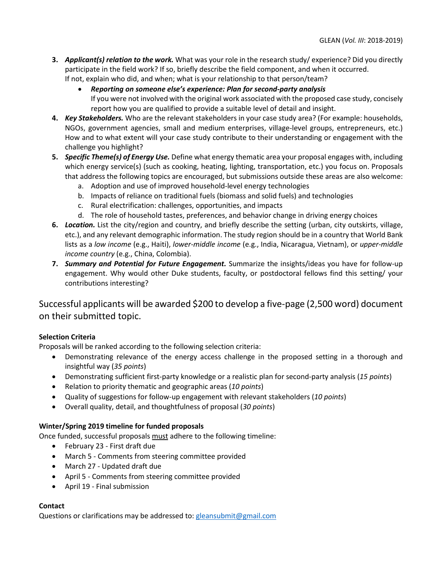- **3.** *Applicant(s) relation to the work.* What was your role in the research study/ experience? Did you directly participate in the field work? If so, briefly describe the field component, and when it occurred. If not, explain who did, and when; what is your relationship to that person/team?
	- *Reporting on someone else's experience: Plan for second-party analysis* If you were not involved with the original work associated with the proposed case study, concisely report how you are qualified to provide a suitable level of detail and insight.
- **4.** *Key Stakeholders.* Who are the relevant stakeholders in your case study area? (For example: households, NGOs, government agencies, small and medium enterprises, village-level groups, entrepreneurs, etc.) How and to what extent will your case study contribute to their understanding or engagement with the challenge you highlight?
- **5.** *Specific Theme(s) of Energy Use.* Define what energy thematic area your proposal engages with, including which energy service(s) (such as cooking, heating, lighting, transportation, etc.) you focus on. Proposals that address the following topics are encouraged, but submissions outside these areas are also welcome:
	- a. Adoption and use of improved household-level energy technologies
	- b. Impacts of reliance on traditional fuels (biomass and solid fuels) and technologies
	- c. Rural electrification: challenges, opportunities, and impacts
	- d. The role of household tastes, preferences, and behavior change in driving energy choices
- **6.** *Location.* List the city/region and country, and briefly describe the setting (urban, city outskirts, village, etc.), and any relevant demographic information. The study region should be in a country that World Bank lists as a *[low income](https://data.worldbank.org/income-level/low-income)* (e.g., Haiti), *[lower-middle](https://data.worldbank.org/income-level/lower-middle-income) income* (e.g., India, Nicaragua, Vietnam), or *[upper-middle](https://data.worldbank.org/income-level/upper-middle-income)  [income](https://data.worldbank.org/income-level/upper-middle-income) country* (e.g., China, Colombia).
- **7.** *Summary and Potential for Future Engagement.* Summarize the insights/ideas you have for follow-up engagement. Why would other Duke students, faculty, or postdoctoral fellows find this setting/ your contributions interesting?

## Successful applicants will be awarded \$200 to develop a five-page (2,500 word) document on their submitted topic.

#### **Selection Criteria**

Proposals will be ranked according to the following selection criteria:

- Demonstrating relevance of the energy access challenge in the proposed setting in a thorough and insightful way (*35 points*)
- Demonstrating sufficient first-party knowledge or a realistic plan for second-party analysis (*15 points*)
- Relation to priority thematic and geographic areas (*10 points*)
- Quality of suggestions for follow-up engagement with relevant stakeholders (*10 points*)
- Overall quality, detail, and thoughtfulness of proposal (*30 points*)

#### **Winter/Spring 2019 timeline for funded proposals**

Once funded, successful proposals must adhere to the following timeline:

- February 23 First draft due
- March 5 Comments from steering committee provided
- March 27 Updated draft due
- April 5 Comments from steering committee provided
- April 19 Final submission

#### **Contact**

Questions or clarifications may be addressed to[: gleansubmit@gmail.com](mailto:gleansubmit@gmail.com)